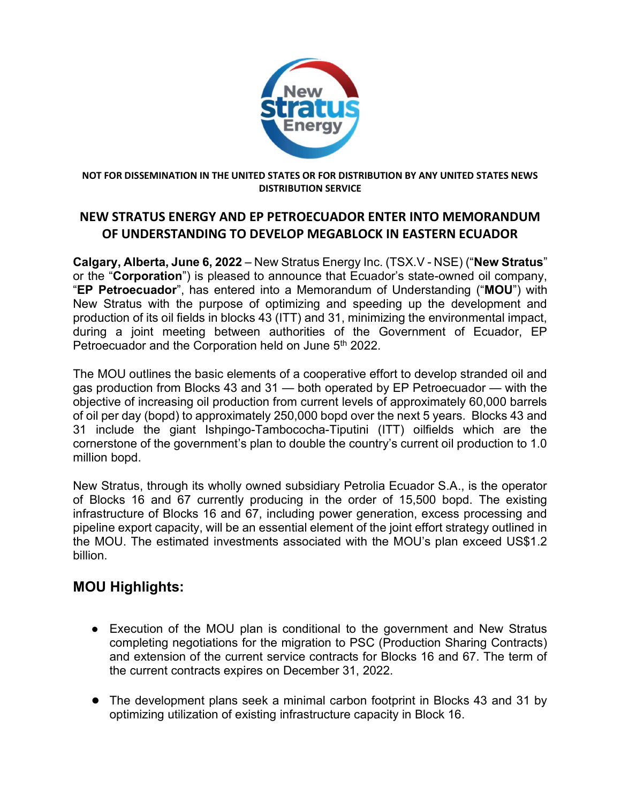

#### NOT FOR DISSEMINATION IN THE UNITED STATES OR FOR DISTRIBUTION BY ANY UNITED STATES NEWS DISTRIBUTION SERVICE

### NEW STRATUS ENERGY AND EP PETROECUADOR ENTER INTO MEMORANDUM OF UNDERSTANDING TO DEVELOP MEGABLOCK IN EASTERN ECUADOR

Calgary, Alberta, June 6, 2022 – New Stratus Energy Inc. (TSX.V - NSE) ("New Stratus" or the "Corporation") is pleased to announce that Ecuador's state-owned oil company, "EP Petroecuador", has entered into a Memorandum of Understanding ("MOU") with New Stratus with the purpose of optimizing and speeding up the development and production of its oil fields in blocks 43 (ITT) and 31, minimizing the environmental impact, during a joint meeting between authorities of the Government of Ecuador, EP Petroecuador and the Corporation held on June 5<sup>th</sup> 2022.

The MOU outlines the basic elements of a cooperative effort to develop stranded oil and gas production from Blocks 43 and 31 — both operated by EP Petroecuador — with the objective of increasing oil production from current levels of approximately 60,000 barrels of oil per day (bopd) to approximately 250,000 bopd over the next 5 years. Blocks 43 and 31 include the giant Ishpingo-Tambococha-Tiputini (ITT) oilfields which are the cornerstone of the government's plan to double the country's current oil production to 1.0 million bopd.

New Stratus, through its wholly owned subsidiary Petrolia Ecuador S.A., is the operator of Blocks 16 and 67 currently producing in the order of 15,500 bopd. The existing infrastructure of Blocks 16 and 67, including power generation, excess processing and pipeline export capacity, will be an essential element of the joint effort strategy outlined in the MOU. The estimated investments associated with the MOU's plan exceed US\$1.2 billion.

# MOU Highlights:

- Execution of the MOU plan is conditional to the government and New Stratus completing negotiations for the migration to PSC (Production Sharing Contracts) and extension of the current service contracts for Blocks 16 and 67. The term of the current contracts expires on December 31, 2022.
- The development plans seek a minimal carbon footprint in Blocks 43 and 31 by optimizing utilization of existing infrastructure capacity in Block 16.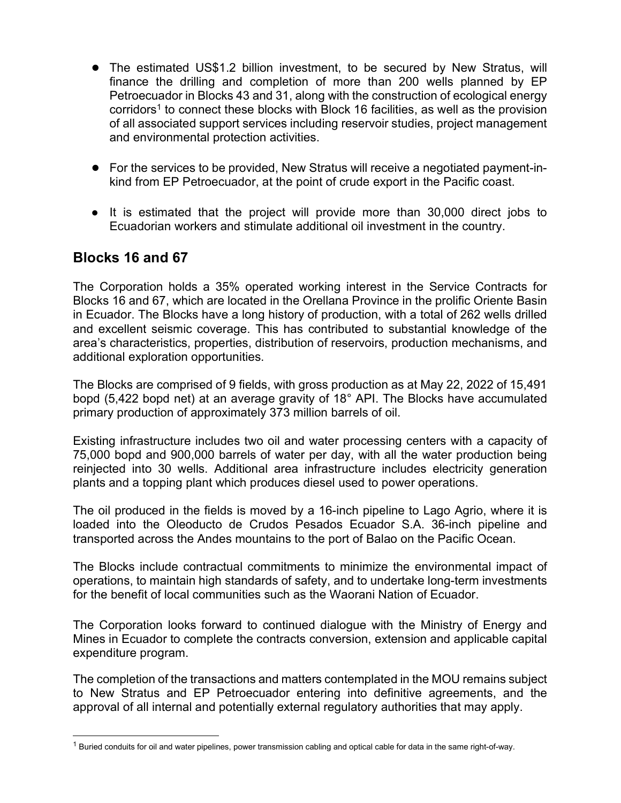- The estimated US\$1.2 billion investment, to be secured by New Stratus, will finance the drilling and completion of more than 200 wells planned by EP Petroecuador in Blocks 43 and 31, along with the construction of ecological energy corridors<sup>1</sup> to connect these blocks with Block 16 facilities, as well as the provision of all associated support services including reservoir studies, project management and environmental protection activities.
- For the services to be provided, New Stratus will receive a negotiated payment-inkind from EP Petroecuador, at the point of crude export in the Pacific coast.
- It is estimated that the project will provide more than 30,000 direct jobs to Ecuadorian workers and stimulate additional oil investment in the country.

## Blocks 16 and 67

The Corporation holds a 35% operated working interest in the Service Contracts for Blocks 16 and 67, which are located in the Orellana Province in the prolific Oriente Basin in Ecuador. The Blocks have a long history of production, with a total of 262 wells drilled and excellent seismic coverage. This has contributed to substantial knowledge of the area's characteristics, properties, distribution of reservoirs, production mechanisms, and additional exploration opportunities.

The Blocks are comprised of 9 fields, with gross production as at May 22, 2022 of 15,491 bopd (5,422 bopd net) at an average gravity of 18° API. The Blocks have accumulated primary production of approximately 373 million barrels of oil.

Existing infrastructure includes two oil and water processing centers with a capacity of 75,000 bopd and 900,000 barrels of water per day, with all the water production being reinjected into 30 wells. Additional area infrastructure includes electricity generation plants and a topping plant which produces diesel used to power operations.

The oil produced in the fields is moved by a 16-inch pipeline to Lago Agrio, where it is loaded into the Oleoducto de Crudos Pesados Ecuador S.A. 36-inch pipeline and transported across the Andes mountains to the port of Balao on the Pacific Ocean.

The Blocks include contractual commitments to minimize the environmental impact of operations, to maintain high standards of safety, and to undertake long-term investments for the benefit of local communities such as the Waorani Nation of Ecuador.

The Corporation looks forward to continued dialogue with the Ministry of Energy and Mines in Ecuador to complete the contracts conversion, extension and applicable capital expenditure program.

The completion of the transactions and matters contemplated in the MOU remains subject to New Stratus and EP Petroecuador entering into definitive agreements, and the approval of all internal and potentially external regulatory authorities that may apply.

<sup>&</sup>lt;sup>1</sup> Buried conduits for oil and water pipelines, power transmission cabling and optical cable for data in the same right-of-way.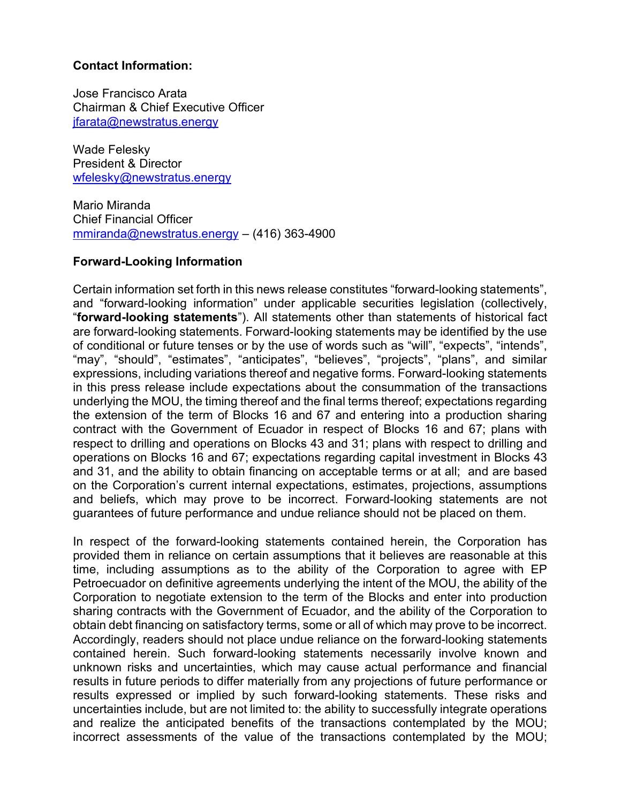### Contact Information:

Jose Francisco Arata Chairman & Chief Executive Officer jfarata@newstratus.energy

Wade Felesky President & Director wfelesky@newstratus.energy

Mario Miranda Chief Financial Officer mmiranda@newstratus.energy – (416) 363-4900

### Forward-Looking Information

Certain information set forth in this news release constitutes "forward-looking statements", and "forward-looking information" under applicable securities legislation (collectively, "forward-looking statements"). All statements other than statements of historical fact are forward-looking statements. Forward-looking statements may be identified by the use of conditional or future tenses or by the use of words such as "will", "expects", "intends", "may", "should", "estimates", "anticipates", "believes", "projects", "plans", and similar expressions, including variations thereof and negative forms. Forward-looking statements in this press release include expectations about the consummation of the transactions underlying the MOU, the timing thereof and the final terms thereof; expectations regarding the extension of the term of Blocks 16 and 67 and entering into a production sharing contract with the Government of Ecuador in respect of Blocks 16 and 67; plans with respect to drilling and operations on Blocks 43 and 31; plans with respect to drilling and operations on Blocks 16 and 67; expectations regarding capital investment in Blocks 43 and 31, and the ability to obtain financing on acceptable terms or at all; and are based on the Corporation's current internal expectations, estimates, projections, assumptions and beliefs, which may prove to be incorrect. Forward-looking statements are not guarantees of future performance and undue reliance should not be placed on them.

In respect of the forward-looking statements contained herein, the Corporation has provided them in reliance on certain assumptions that it believes are reasonable at this time, including assumptions as to the ability of the Corporation to agree with EP Petroecuador on definitive agreements underlying the intent of the MOU, the ability of the Corporation to negotiate extension to the term of the Blocks and enter into production sharing contracts with the Government of Ecuador, and the ability of the Corporation to obtain debt financing on satisfactory terms, some or all of which may prove to be incorrect. Accordingly, readers should not place undue reliance on the forward-looking statements contained herein. Such forward-looking statements necessarily involve known and unknown risks and uncertainties, which may cause actual performance and financial results in future periods to differ materially from any projections of future performance or results expressed or implied by such forward-looking statements. These risks and uncertainties include, but are not limited to: the ability to successfully integrate operations and realize the anticipated benefits of the transactions contemplated by the MOU; incorrect assessments of the value of the transactions contemplated by the MOU;